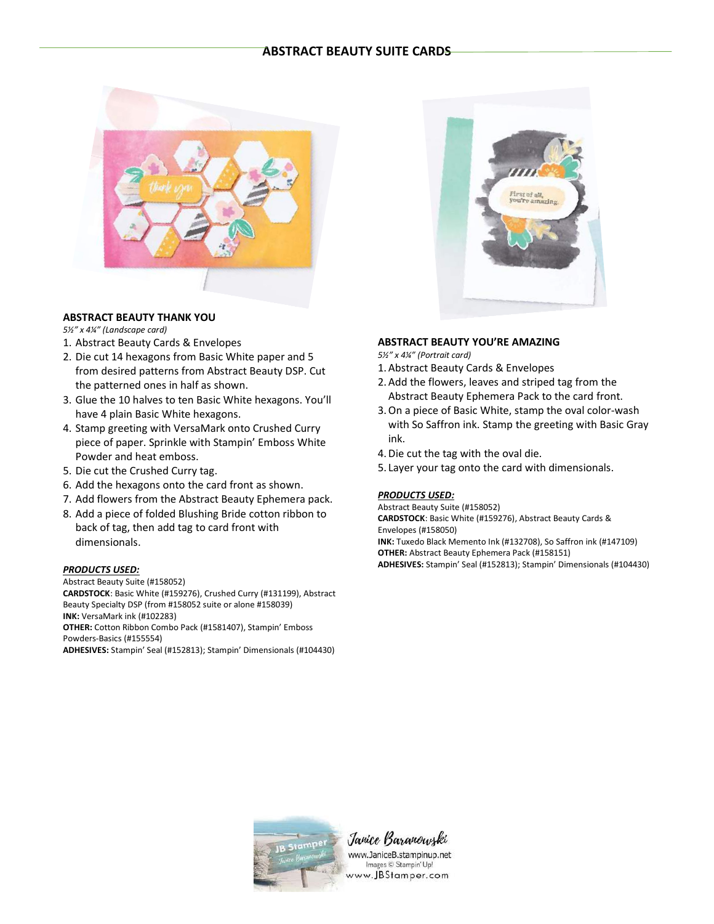# **ABSTRACT BEAUTY SUITE CARDS**



### **ABSTRACT BEAUTY THANK YOU**

*5½" x 4¼" (Landscape card)*

- 1. Abstract Beauty Cards & Envelopes
- 2. Die cut 14 hexagons from Basic White paper and 5 from desired patterns from Abstract Beauty DSP. Cut the patterned ones in half as shown.
- 3. Glue the 10 halves to ten Basic White hexagons. You'll have 4 plain Basic White hexagons.
- 4. Stamp greeting with VersaMark onto Crushed Curry piece of paper. Sprinkle with Stampin' Emboss White Powder and heat emboss.
- 5. Die cut the Crushed Curry tag.
- 6. Add the hexagons onto the card front as shown.
- 7. Add flowers from the Abstract Beauty Ephemera pack.
- 8. Add a piece of folded Blushing Bride cotton ribbon to back of tag, then add tag to card front with dimensionals.

### *PRODUCTS USED:*

Abstract Beauty Suite (#158052)

**CARDSTOCK**: Basic White (#159276), Crushed Curry (#131199), Abstract Beauty Specialty DSP (from #158052 suite or alone #158039) **INK:** VersaMark ink (#102283) **OTHER:** Cotton Ribbon Combo Pack (#1581407), Stampin' Emboss Powders-Basics (#155554)

**ADHESIVES:** Stampin' Seal (#152813); Stampin' Dimensionals (#104430)



#### **ABSTRACT BEAUTY YOU'RE AMAZING**

*5½" x 4¼" (Portrait card)*

- 1. Abstract Beauty Cards & Envelopes
- 2. Add the flowers, leaves and striped tag from the Abstract Beauty Ephemera Pack to the card front.
- 3.On a piece of Basic White, stamp the oval color-wash with So Saffron ink. Stamp the greeting with Basic Gray ink.
- 4.Die cut the tag with the oval die.
- 5. Layer your tag onto the card with dimensionals.

#### *PRODUCTS USED:*

Abstract Beauty Suite (#158052) **CARDSTOCK**: Basic White (#159276), Abstract Beauty Cards & Envelopes (#158050) **INK:** Tuxedo Black Memento Ink (#132708), So Saffron ink (#147109)

**OTHER:** Abstract Beauty Ephemera Pack (#158151) **ADHESIVES:** Stampin' Seal (#152813); Stampin' Dimensionals (#104430)



Janice Baranowzki www.JaniceB.stampinup.net

Images © Stampin' Up! www.JBStamper.com